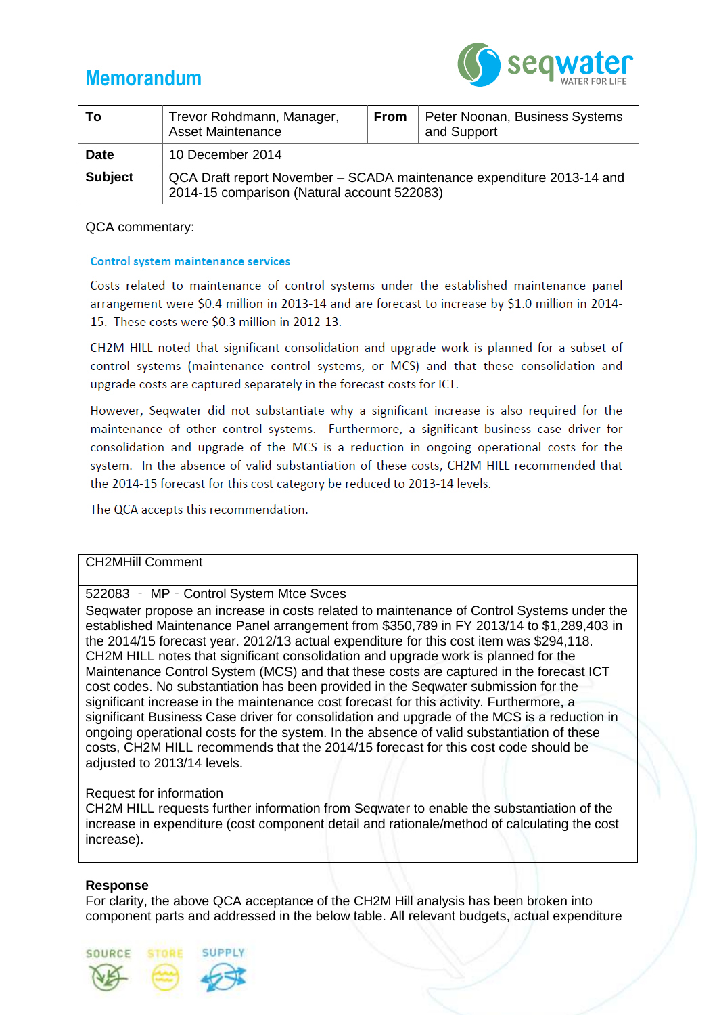



| Тο             | Trevor Rohdmann, Manager,<br><b>Asset Maintenance</b>                                                                | <b>From</b> | Peter Noonan, Business Systems<br>and Support |  |  |
|----------------|----------------------------------------------------------------------------------------------------------------------|-------------|-----------------------------------------------|--|--|
| <b>Date</b>    | 10 December 2014                                                                                                     |             |                                               |  |  |
| <b>Subject</b> | QCA Draft report November – SCADA maintenance expenditure 2013-14 and<br>2014-15 comparison (Natural account 522083) |             |                                               |  |  |

## QCA commentary:

#### **Control system maintenance services**

Costs related to maintenance of control systems under the established maintenance panel arrangement were \$0.4 million in 2013-14 and are forecast to increase by \$1.0 million in 2014-15. These costs were \$0.3 million in 2012-13.

CH2M HILL noted that significant consolidation and upgrade work is planned for a subset of control systems (maintenance control systems, or MCS) and that these consolidation and upgrade costs are captured separately in the forecast costs for ICT.

However, Seqwater did not substantiate why a significant increase is also required for the maintenance of other control systems. Furthermore, a significant business case driver for consolidation and upgrade of the MCS is a reduction in ongoing operational costs for the system. In the absence of valid substantiation of these costs, CH2M HILL recommended that the 2014-15 forecast for this cost category be reduced to 2013-14 levels.

The QCA accepts this recommendation.

## CH2MHill Comment

## 522083 ‐ MP‐Control System Mtce Svces

Seqwater propose an increase in costs related to maintenance of Control Systems under the established Maintenance Panel arrangement from \$350,789 in FY 2013/14 to \$1,289,403 in the 2014/15 forecast year. 2012/13 actual expenditure for this cost item was \$294,118. CH2M HILL notes that significant consolidation and upgrade work is planned for the Maintenance Control System (MCS) and that these costs are captured in the forecast ICT cost codes. No substantiation has been provided in the Seqwater submission for the significant increase in the maintenance cost forecast for this activity. Furthermore, a significant Business Case driver for consolidation and upgrade of the MCS is a reduction in ongoing operational costs for the system. In the absence of valid substantiation of these costs, CH2M HILL recommends that the 2014/15 forecast for this cost code should be adjusted to 2013/14 levels.

#### Request for information

**STORF** 

SUPPLY

CH2M HILL requests further information from Seqwater to enable the substantiation of the increase in expenditure (cost component detail and rationale/method of calculating the cost increase).

#### **Response**

SOURCE

For clarity, the above QCA acceptance of the CH2M Hill analysis has been broken into component parts and addressed in the below table. All relevant budgets, actual expenditure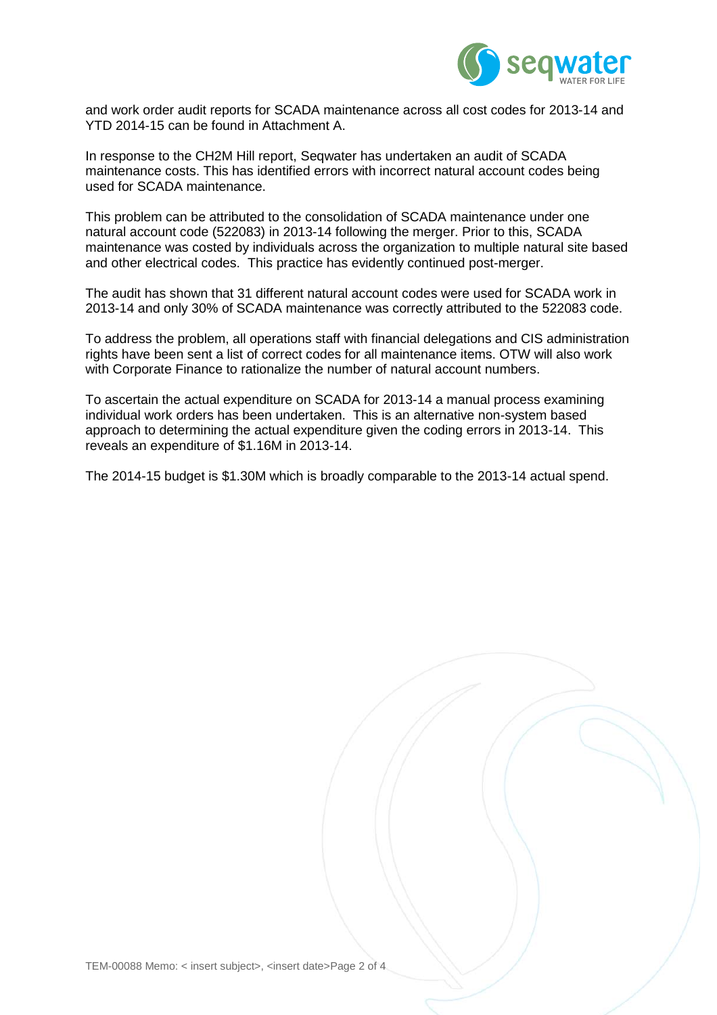

and work order audit reports for SCADA maintenance across all cost codes for 2013-14 and YTD 2014-15 can be found in Attachment A.

In response to the CH2M Hill report, Seqwater has undertaken an audit of SCADA maintenance costs. This has identified errors with incorrect natural account codes being used for SCADA maintenance.

This problem can be attributed to the consolidation of SCADA maintenance under one natural account code (522083) in 2013-14 following the merger. Prior to this, SCADA maintenance was costed by individuals across the organization to multiple natural site based and other electrical codes. This practice has evidently continued post-merger.

The audit has shown that 31 different natural account codes were used for SCADA work in 2013-14 and only 30% of SCADA maintenance was correctly attributed to the 522083 code.

To address the problem, all operations staff with financial delegations and CIS administration rights have been sent a list of correct codes for all maintenance items. OTW will also work with Corporate Finance to rationalize the number of natural account numbers.

To ascertain the actual expenditure on SCADA for 2013-14 a manual process examining individual work orders has been undertaken. This is an alternative non-system based approach to determining the actual expenditure given the coding errors in 2013-14. This reveals an expenditure of \$1.16M in 2013-14.

The 2014-15 budget is \$1.30M which is broadly comparable to the 2013-14 actual spend.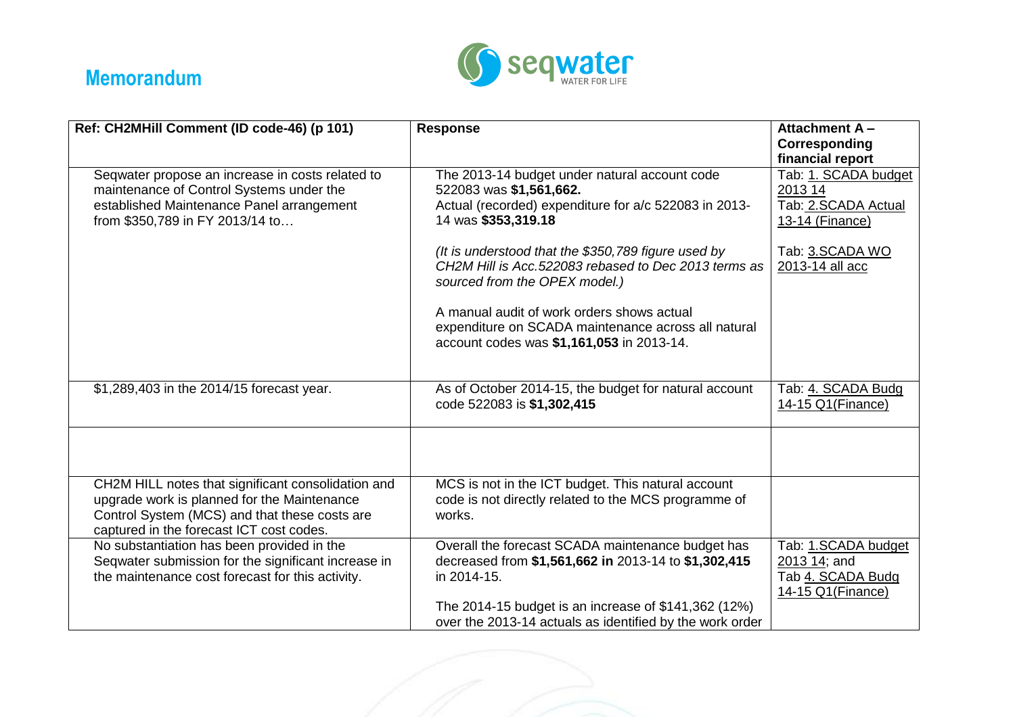

# **Memorandum**

| Ref: CH2MHill Comment (ID code-46) (p 101)                                                                                                                                                     | <b>Response</b>                                                                                                                                          | <b>Attachment A-</b><br>Corresponding<br>financial report                      |
|------------------------------------------------------------------------------------------------------------------------------------------------------------------------------------------------|----------------------------------------------------------------------------------------------------------------------------------------------------------|--------------------------------------------------------------------------------|
| Seqwater propose an increase in costs related to<br>maintenance of Control Systems under the<br>established Maintenance Panel arrangement<br>from \$350,789 in FY 2013/14 to                   | The 2013-14 budget under natural account code<br>522083 was \$1,561,662.<br>Actual (recorded) expenditure for a/c 522083 in 2013-<br>14 was \$353,319.18 | Tab: 1. SCADA budget<br>2013 14<br>Tab: 2.SCADA Actual<br>13-14 (Finance)      |
|                                                                                                                                                                                                | (It is understood that the \$350,789 figure used by<br>CH2M Hill is Acc.522083 rebased to Dec 2013 terms as<br>sourced from the OPEX model.)             | Tab: 3.SCADA WO<br>2013-14 all acc                                             |
|                                                                                                                                                                                                | A manual audit of work orders shows actual<br>expenditure on SCADA maintenance across all natural<br>account codes was \$1,161,053 in 2013-14.           |                                                                                |
| \$1,289,403 in the 2014/15 forecast year.                                                                                                                                                      | As of October 2014-15, the budget for natural account<br>code 522083 is \$1,302,415                                                                      | Tab: 4. SCADA Budg<br>14-15 Q1 (Finance)                                       |
|                                                                                                                                                                                                |                                                                                                                                                          |                                                                                |
| CH2M HILL notes that significant consolidation and<br>upgrade work is planned for the Maintenance<br>Control System (MCS) and that these costs are<br>captured in the forecast ICT cost codes. | MCS is not in the ICT budget. This natural account<br>code is not directly related to the MCS programme of<br>works.                                     |                                                                                |
| No substantiation has been provided in the<br>Seqwater submission for the significant increase in<br>the maintenance cost forecast for this activity.                                          | Overall the forecast SCADA maintenance budget has<br>decreased from \$1,561,662 in 2013-14 to \$1,302,415<br>in 2014-15.                                 | Tab: 1.SCADA budget<br>2013 14; and<br>Tab 4. SCADA Budg<br>14-15 Q1 (Finance) |
|                                                                                                                                                                                                | The 2014-15 budget is an increase of \$141,362 (12%)<br>over the 2013-14 actuals as identified by the work order                                         |                                                                                |